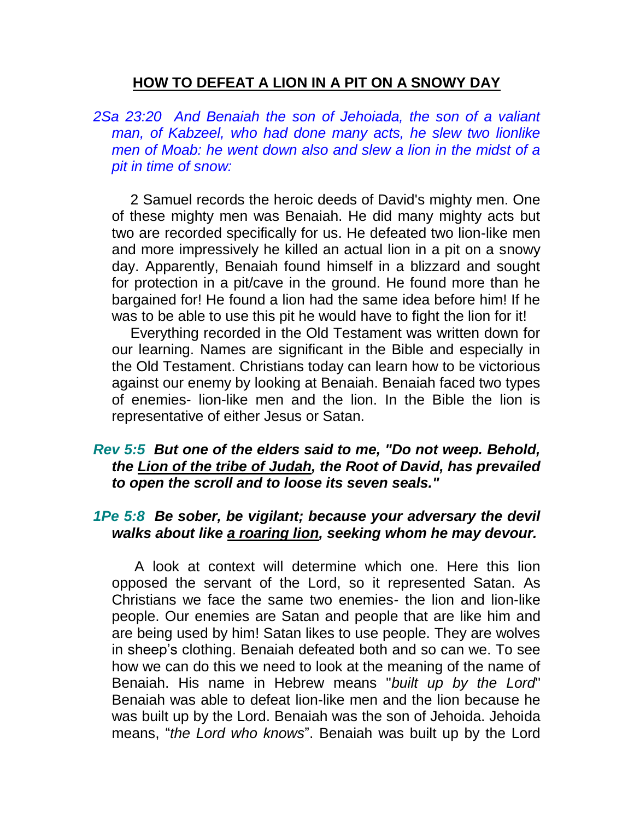## **HOW TO DEFEAT A LION IN A PIT ON A SNOWY DAY**

*2Sa 23:20 And Benaiah the son of Jehoiada, the son of a valiant man, of Kabzeel, who had done many acts, he slew two lionlike men of Moab: he went down also and slew a lion in the midst of a pit in time of snow:* 

2 Samuel records the heroic deeds of David's mighty men. One of these mighty men was Benaiah. He did many mighty acts but two are recorded specifically for us. He defeated two lion-like men and more impressively he killed an actual lion in a pit on a snowy day. Apparently, Benaiah found himself in a blizzard and sought for protection in a pit/cave in the ground. He found more than he bargained for! He found a lion had the same idea before him! If he was to be able to use this pit he would have to fight the lion for it!

Everything recorded in the Old Testament was written down for our learning. Names are significant in the Bible and especially in the Old Testament. Christians today can learn how to be victorious against our enemy by looking at Benaiah. Benaiah faced two types of enemies- lion-like men and the lion. In the Bible the lion is representative of either Jesus or Satan.

#### *Rev 5:5 But one of the elders said to me, "Do not weep. Behold, the Lion of the tribe of Judah, the Root of David, has prevailed to open the scroll and to loose its seven seals."*

### *1Pe 5:8 Be sober, be vigilant; because your adversary the devil walks about like a roaring lion, seeking whom he may devour.*

A look at context will determine which one. Here this lion opposed the servant of the Lord, so it represented Satan. As Christians we face the same two enemies- the lion and lion-like people. Our enemies are Satan and people that are like him and are being used by him! Satan likes to use people. They are wolves in sheep's clothing. Benaiah defeated both and so can we. To see how we can do this we need to look at the meaning of the name of Benaiah. His name in Hebrew means "*built up by the Lord*" Benaiah was able to defeat lion-like men and the lion because he was built up by the Lord. Benaiah was the son of Jehoida. Jehoida means, "*the Lord who knows*". Benaiah was built up by the Lord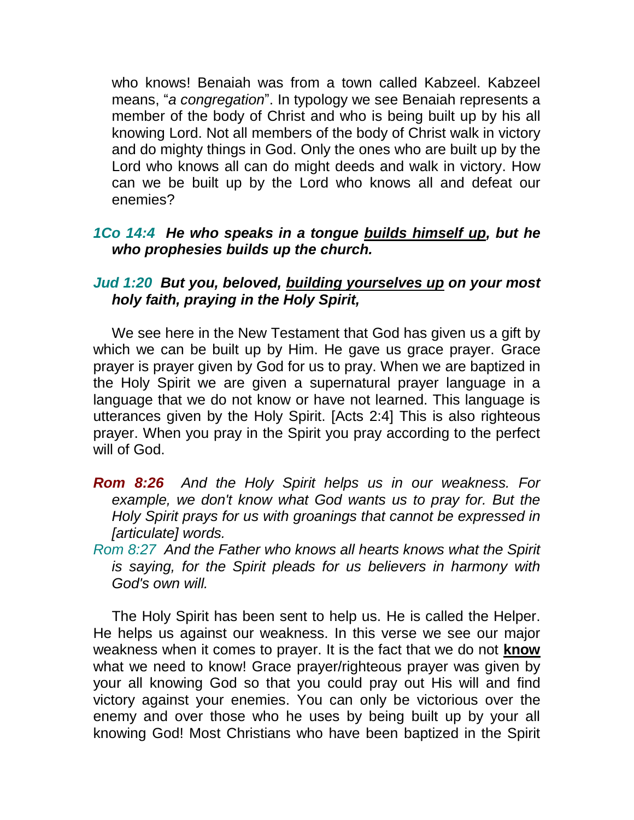who knows! Benaiah was from a town called Kabzeel. Kabzeel means, "*a congregation*". In typology we see Benaiah represents a member of the body of Christ and who is being built up by his all knowing Lord. Not all members of the body of Christ walk in victory and do mighty things in God. Only the ones who are built up by the Lord who knows all can do might deeds and walk in victory. How can we be built up by the Lord who knows all and defeat our enemies?

# *1Co 14:4 He who speaks in a tongue builds himself up, but he who prophesies builds up the church.*

### *Jud 1:20 But you, beloved, building yourselves up on your most holy faith, praying in the Holy Spirit,*

We see here in the New Testament that God has given us a gift by which we can be built up by Him. He gave us grace prayer. Grace prayer is prayer given by God for us to pray. When we are baptized in the Holy Spirit we are given a supernatural prayer language in a language that we do not know or have not learned. This language is utterances given by the Holy Spirit. [Acts 2:4] This is also righteous prayer. When you pray in the Spirit you pray according to the perfect will of God.

- *Rom 8:26 And the Holy Spirit helps us in our weakness. For example, we don't know what God wants us to pray for. But the Holy Spirit prays for us with groanings that cannot be expressed in [articulate] words.*
- *Rom 8:27 And the Father who knows all hearts knows what the Spirit is saying, for the Spirit pleads for us believers in harmony with God's own will.*

The Holy Spirit has been sent to help us. He is called the Helper. He helps us against our weakness. In this verse we see our major weakness when it comes to prayer. It is the fact that we do not **know** what we need to know! Grace prayer/righteous prayer was given by your all knowing God so that you could pray out His will and find victory against your enemies. You can only be victorious over the enemy and over those who he uses by being built up by your all knowing God! Most Christians who have been baptized in the Spirit